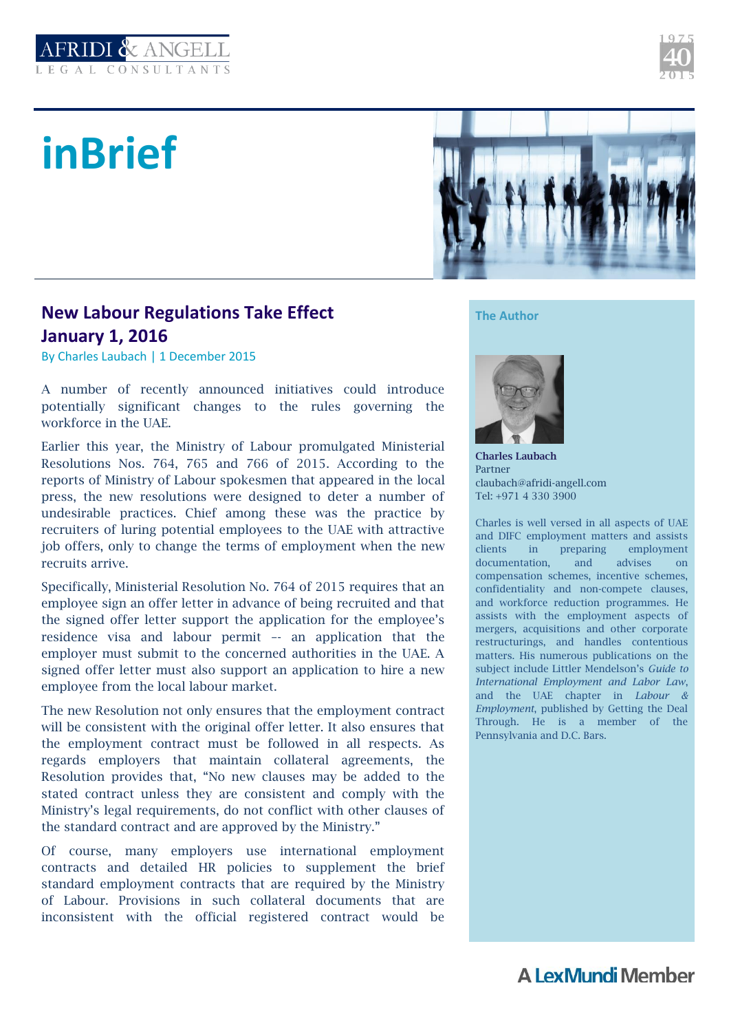

## **inBrief**



## **New Labour Regulations Take Effect January 1, 2016**

By Charles Laubach | 1 December 2015

A number of recently announced initiatives could introduce potentially significant changes to the rules governing the workforce in the UAE.

Earlier this year, the Ministry of Labour promulgated Ministerial Resolutions Nos. 764, 765 and 766 of 2015. According to the reports of Ministry of Labour spokesmen that appeared in the local press, the new resolutions were designed to deter a number of undesirable practices. Chief among these was the practice by recruiters of luring potential employees to the UAE with attractive job offers, only to change the terms of employment when the new recruits arrive.

Specifically, Ministerial Resolution No. 764 of 2015 requires that an employee sign an offer letter in advance of being recruited and that the signed offer letter support the application for the employee's residence visa and labour permit –- an application that the employer must submit to the concerned authorities in the UAE. A signed offer letter must also support an application to hire a new employee from the local labour market.

The new Resolution not only ensures that the employment contract will be consistent with the original offer letter. It also ensures that the employment contract must be followed in all respects. As regards employers that maintain collateral agreements, the Resolution provides that, "No new clauses may be added to the stated contract unless they are consistent and comply with the Ministry's legal requirements, do not conflict with other clauses of the standard contract and are approved by the Ministry."

Of course, many employers use international employment contracts and detailed HR policies to supplement the brief standard employment contracts that are required by the Ministry of Labour. Provisions in such collateral documents that are inconsistent with the official registered contract would be **The Author**



**Charles Laubach** Partner claubach@afridi-angell.com Tel: +971 4 330 3900

Charles is well versed in all aspects of UAE and DIFC employment matters and assists clients in preparing employment documentation, and advises on compensation schemes, incentive schemes, confidentiality and non-compete clauses, and workforce reduction programmes. He assists with the employment aspects of mergers, acquisitions and other corporate restructurings, and handles contentious matters. His numerous publications on the subject include Littler Mendelson's *Guide to International Employment and Labor Law*, and the UAE chapter in *Labour & Employment*, published by Getting the Deal Through. He is a member of the Pennsylvania and D.C. Bars.